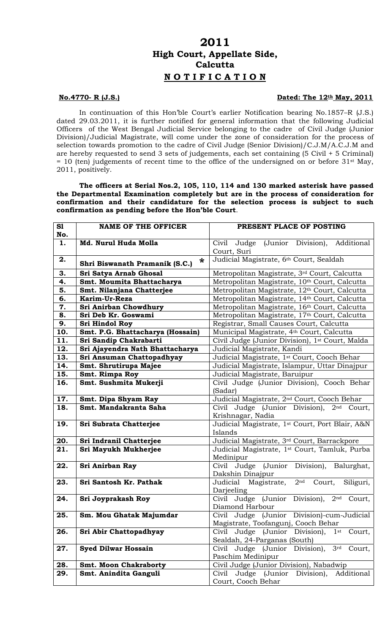## **2011 High Court, Appellate Side, Calcutta N O T I F I C A T I O N**

## **No.4770- R (J.S.) Dated: The 12th May, 2011**

In continuation of this Hon'ble Court's earlier Notification bearing No.1857–R (J.S.) dated 29.03.2011, it is further notified for general information that the following Judicial Officers of the West Bengal Judicial Service belonging to the cadre of Civil Judge (Junior Division)/Judicial Magistrate, will come under the zone of consideration for the process of selection towards promotion to the cadre of Civil Judge (Senior Division)/C.J.M/A.C.J.M and are hereby requested to send 3 sets of judgements, each set containing (5 Civil + 5 Criminal)  $= 10$  (ten) judgements of recent time to the office of the undersigned on or before 31<sup>st</sup> May, 2011, positively.

**The officers at Serial Nos.2, 105, 110, 114 and 130 marked asterisk have passed the Departmental Examination completely but are in the process of consideration for confirmation and their candidature for the selection process is subject to such confirmation as pending before the Hon'ble Court**.

| S1  | <b>NAME OF THE OFFICER</b>                         | PRESENT PLACE OF POSTING                                                              |
|-----|----------------------------------------------------|---------------------------------------------------------------------------------------|
| No. |                                                    |                                                                                       |
| 1.  | Md. Nurul Huda Molla                               | (Junior<br>Division),<br>Additional<br>Judge<br>Civil<br>Court, Suri                  |
| 2.  | $\boldsymbol{*}$<br>Shri Biswanath Pramanik (S.C.) | Judicial Magistrate, 6th Court, Sealdah                                               |
| 3.  | Sri Satya Arnab Ghosal                             | Metropolitan Magistrate, 3rd Court, Calcutta                                          |
| 4.  | Smt. Moumita Bhattacharya                          | Metropolitan Magistrate, 10th Court, Calcutta                                         |
| 5.  | Smt. Nilanjana Chatterjee                          | Metropolitan Magistrate, 12th Court, Calcutta                                         |
| 6.  | Karim-Ur-Reza                                      | Metropolitan Magistrate, 14th Court, Calcutta                                         |
| 7.  | Sri Anirban Chowdhury                              | Metropolitan Magistrate, 16th Court, Calcutta                                         |
| 8.  | Sri Deb Kr. Goswami                                | Metropolitan Magistrate, 17th Court, Calcutta                                         |
| 9.  | Sri Hindol Roy                                     | Registrar, Small Causes Court, Calcutta                                               |
| 10. | Smt. P.G. Bhattacharya (Hossain)                   | Municipal Magistrate, 4th Court, Calcutta                                             |
| 11. | Sri Sandip Chakrabarti                             | Civil Judge (Junior Division), 1 <sup>st</sup> Court, Malda                           |
| 12. | Sri Ajayendra Nath Bhattacharya                    | Judicial Magistrate, Kandi                                                            |
| 13. | Sri Ansuman Chattopadhyay                          | Judicial Magistrate, 1st Court, Cooch Behar                                           |
| 14. | Smt. Shrutirupa Majee                              | Judicial Magistrate, Islampur, Uttar Dinajpur                                         |
| 15. | Smt. Rimpa Roy                                     | Judicial Magistrate, Baruipur                                                         |
| 16. | Smt. Sushmita Mukerji                              | Civil Judge (Junior Division), Cooch Behar<br>(Sadar)                                 |
| 17. | Smt. Dipa Shyam Ray                                | Judicial Magistrate, 2 <sup>nd</sup> Court, Cooch Behar                               |
| 18. | Smt. Mandakranta Saha                              | Civil Judge (Junior Division),<br>2 <sup>nd</sup> Court,                              |
|     |                                                    | Krishnagar, Nadia                                                                     |
| 19. | Sri Subrata Chatterjee                             | Judicial Magistrate, 1st Court, Port Blair, A&N                                       |
|     |                                                    | Islands                                                                               |
| 20. | Sri Indranil Chatterjee                            | Judicial Magistrate, 3rd Court, Barrackpore                                           |
| 21. | Sri Mayukh Mukherjee                               | Judicial Magistrate, 1 <sup>st</sup> Court, Tamluk, Purba<br>Medinipur                |
| 22. | Sri Anirban Ray                                    | Civil Judge (Junior<br>Division), Balurghat,                                          |
| 23. | Sri Santosh Kr. Pathak                             | Dakshin Dinajpur<br>2 <sup>nd</sup><br>Judicial<br>Magistrate,<br>Siliguri,<br>Court, |
|     |                                                    | Darjeeling                                                                            |
| 24. | Sri Joyprakash Roy                                 | Division),<br>(Junior<br>Civil Judge<br>$2nd$ Court,                                  |
|     |                                                    | Diamond Harbour                                                                       |
| 25. | Sm. Mou Ghatak Majumdar                            | Judge (Junior Division)-cum-Judicial<br>Civil                                         |
|     |                                                    | Magistrate, Toofangunj, Cooch Behar                                                   |
| 26. | Sri Abir Chattopadhyay                             | Civil Judge (Junior Division),<br>$1$ st<br>Court,                                    |
|     |                                                    | Sealdah, 24-Parganas (South)                                                          |
| 27. | <b>Syed Dilwar Hossain</b>                         | 3 <sup>rd</sup><br>Civil Judge (Junior Division),<br>Court,                           |
|     |                                                    | Paschim Medinipur                                                                     |
| 28. | <b>Smt. Moon Chakraborty</b>                       | Civil Judge (Junior Division), Nabadwip                                               |
| 29. | Smt. Anindita Ganguli                              | Judge (Junior Division),<br>Civil<br>Additional<br>Court, Cooch Behar                 |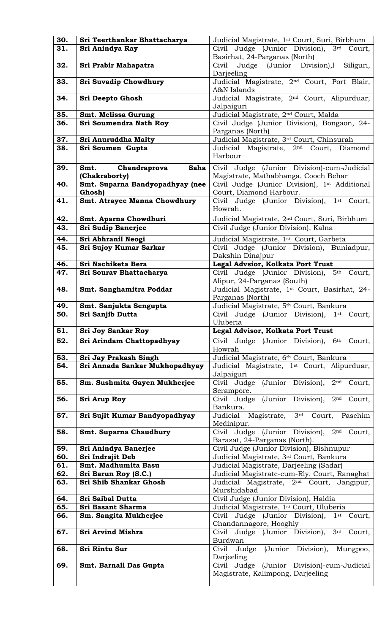| 30. | Sri Teerthankar Bhattacharya    | Judicial Magistrate, 1st Court, Suri, Birbhum                                          |
|-----|---------------------------------|----------------------------------------------------------------------------------------|
| 31. | Sri Anindya Ray                 | Civil Judge (Junior Division), 3rd Court,                                              |
|     |                                 | Basirhat, 24-Parganas (North)                                                          |
| 32. | Sri Prabir Mahapatra            | Judge (Junior Division),l<br>Siliguri,<br>Civil<br>Darjeeling                          |
| 33. | <b>Sri Suvadip Chowdhury</b>    | Judicial Magistrate, 2 <sup>nd</sup> Court, Port Blair,<br>A&N Islands                 |
| 34. | Sri Deepto Ghosh                | Judicial Magistrate, 2 <sup>nd</sup> Court, Alipurduar,                                |
|     |                                 | Jalpaiguri                                                                             |
| 35. | Smt. Melissa Gurung             | Judicial Magistrate, 2 <sup>nd</sup> Court, Malda                                      |
| 36. | Sri Soumendra Nath Roy          | Civil Judge (Junior Division), Bongaon, 24-                                            |
|     |                                 | Parganas (North)                                                                       |
| 37. | Sri Anuruddha Maity             | Judicial Magistrate, 3rd Court, Chinsurah                                              |
| 38. | Sri Soumen Gupta                | Judicial Magistrate, 2 <sup>nd</sup> Court,<br>Diamond                                 |
|     |                                 | Harbour                                                                                |
| 39. | Chandraprova<br>Saha<br>Smt.    | Civil Judge (Junior Division)-cum-Judicial                                             |
|     | (Chakraborty)                   | Magistrate, Mathabhanga, Cooch Behar                                                   |
| 40. | Smt. Suparna Bandyopadhyay (nee | Civil Judge (Junior Division), 1st Additional                                          |
|     | Ghosh)                          | Court, Diamond Harbour.                                                                |
| 41. | Smt. Atrayee Manna Chowdhury    | Civil Judge (Junior Division),<br>1st Court,<br>Howrah.                                |
|     |                                 |                                                                                        |
| 42. | Smt. Aparna Chowdhuri           | Judicial Magistrate, 2 <sup>nd</sup> Court, Suri, Birbhum                              |
| 43. | <b>Sri Sudip Banerjee</b>       | Civil Judge (Junior Division), Kalna                                                   |
| 44. | Sri Abhranil Neogi              | Judicial Magistrate, 1 <sup>st</sup> Court, Garbeta                                    |
| 45. | Sri Sujoy Kumar Sarkar          | Civil Judge (Junior Division), Buniadpur,                                              |
|     |                                 | Dakshin Dinajpur                                                                       |
| 46. | Sri Nachiketa Bera              | Legal Advsior, Kolkata Port Trust                                                      |
| 47. | Sri Sourav Bhattacharya         | Civil Judge (Junior Division), 5 <sup>th</sup> Court,<br>Alipur, 24-Parganas (South)   |
| 48. | Smt. Sanghamitra Poddar         | Judicial Magistrate, 1st Court, Basirhat, 24-<br>Parganas (North)                      |
| 49. | Smt. Sanjukta Sengupta          | Judicial Magistrate, 5th Court, Bankura                                                |
| 50. | Sri Sanjib Dutta                | Civil Judge (Junior Division), 1 <sup>st</sup> Court,<br>Uluberia                      |
| 51. | <b>Sri Joy Sankar Roy</b>       | Legal Advisor, Kolkata Port Trust                                                      |
| 52. | Sri Arindam Chattopadhyay       | Civil Judge (Junior Division), 6th Court,                                              |
|     |                                 | Howrah                                                                                 |
| 53. | Sri Jay Prakash Singh           | Judicial Magistrate, 6th Court, Bankura                                                |
| 54. | Sri Annada Sankar Mukhopadhyay  | Judicial Magistrate, 1 <sup>st</sup> Court, Alipurduar,<br>Jalpaiguri                  |
| 55. | Sm. Sushmita Gayen Mukherjee    | Civil Judge (Junior Division), 2 <sup>nd</sup> Court,<br>Serampore.                    |
| 56. | <b>Sri Arup Roy</b>             | Civil Judge (Junior Division), 2 <sup>nd</sup> Court,                                  |
|     |                                 | Bankura.                                                                               |
| 57. | Sri Sujit Kumar Bandyopadhyay   | Judicial Magistrate, 3rd Court,<br>Paschim<br>Medinipur.                               |
| 58. | Smt. Suparna Chaudhury          | Civil Judge (Junior Division), 2 <sup>nd</sup> Court,<br>Barasat, 24-Parganas (North). |
| 59. | Sri Anindya Banerjee            | Civil Judge (Junior Division), Bishnupur                                               |
| 60. | Sri Indrajit Deb                | Judicial Magistrate, 3rd Court, Bankura                                                |
| 61. | Smt. Madhumita Basu             | Judicial Magistrate, Darjeeling (Sadar)                                                |
| 62. | Sri Barun Roy (S.C.)            | Judicial Magistrate-cum-Rly. Court, Ranaghat                                           |
| 63. | Sri Shib Shankar Ghosh          | Judicial Magistrate, 2 <sup>nd</sup> Court, Jangipur,<br>Murshidabad                   |
| 64. | <b>Sri Saibal Dutta</b>         | Civil Judge (Junior Division), Haldia                                                  |
| 65. | Sri Basant Sharma               | Judicial Magistrate, 1st Court, Uluberia                                               |
| 66. | Sm. Sangita Mukherjee           | Civil Judge (Junior Division), 1 <sup>st</sup> Court,                                  |
| 67. | Sri Arvind Mishra               | Chandannagore, Hooghly<br>Civil Judge (Junior Division), 3rd Court,                    |
|     |                                 | Burdwan                                                                                |
| 68. | Sri Rintu Sur                   | Civil Judge (Junior Division), Mungpoo,<br>Darjeeling                                  |
| 69. | Smt. Barnali Das Gupta          | Civil Judge (Junior Division)-cum-Judicial                                             |
|     |                                 | Magistrate, Kalimpong, Darjeeling                                                      |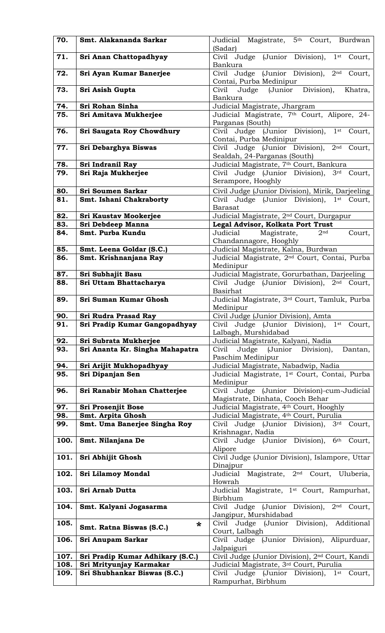| 70.  | Smt. Alakananda Sarkar             | Judicial Magistrate, 5 <sup>th</sup> Court, Burdwan<br>(Sadar)                              |
|------|------------------------------------|---------------------------------------------------------------------------------------------|
| 71.  | Sri Anan Chattopadhyay             | Civil Judge (Junior Division), 1st<br>Court,<br>Bankura                                     |
| 72.  | Sri Ayan Kumar Banerjee            | 2 <sup>nd</sup><br>Civil Judge (Junior Division),<br>Court,<br>Contai, Purba Medinipur      |
| 73.  | Sri Asish Gupta                    | Civil Judge (Junior Division),<br>Khatra,<br>Bankura                                        |
| 74.  | Sri Rohan Sinha                    | Judicial Magistrate, Jhargram                                                               |
| 75.  | Sri Amitava Mukherjee              | Judicial Magistrate, 7th Court, Alipore, 24-                                                |
|      |                                    | Parganas (South)                                                                            |
| 76.  | Sri Saugata Roy Chowdhury          | Civil Judge (Junior Division),<br>$1$ st<br>Court,<br>Contai, Purba Medinipur               |
| 77.  | Sri Debarghya Biswas               | Civil Judge (Junior Division),<br>2 <sup>nd</sup><br>Court,<br>Sealdah, 24-Parganas (South) |
| 78.  | Sri Indranil Ray                   | Judicial Magistrate, 7th Court, Bankura                                                     |
| 79.  | Sri Raja Mukherjee                 | Civil Judge (Junior Division), 3rd Court,<br>Serampore, Hooghly                             |
| 80.  | <b>Sri Soumen Sarkar</b>           | Civil Judge (Junior Division), Mirik, Darjeeling                                            |
| 81.  | Smt. Ishani Chakraborty            | Civil Judge (Junior Division), 1 <sup>st</sup> Court,<br><b>Barasat</b>                     |
| 82.  | Sri Kaustav Mookerjee              | Judicial Magistrate, 2 <sup>nd</sup> Court, Durgapur                                        |
| 83.  | Sri Debdeep Manna                  | Legal Advisor, Kolkata Port Trust                                                           |
| 84.  | Smt. Purba Kundu                   | Magistrate,<br>Judicial<br>2 <sub>nd</sub><br>Court,<br>Chandannagore, Hooghly              |
| 85.  | Smt. Leena Goldar (S.C.)           | Judicial Magistrate, Kalna, Burdwan                                                         |
| 86.  | Smt. Krishnanjana Ray              | Judicial Magistrate, 2 <sup>nd</sup> Court, Contai, Purba<br>Medinipur                      |
| 87.  | Sri Subhajit Basu                  | Judicial Magistrate, Gorurbathan, Darjeeling                                                |
| 88.  | Sri Uttam Bhattacharya             | Civil Judge (Junior Division), 2 <sup>nd</sup> Court,<br><b>Basirhat</b>                    |
| 89.  | Sri Suman Kumar Ghosh              | Judicial Magistrate, 3rd Court, Tamluk, Purba<br>Medinipur                                  |
| 90.  | Sri Rudra Prasad Ray               | Civil Judge (Junior Division), Amta                                                         |
| 91.  | Sri Pradip Kumar Gangopadhyay      | Civil Judge (Junior Division), 1st Court,<br>Lalbagh, Murshidabad                           |
| 92.  | Sri Subrata Mukherjee              | Judicial Magistrate, Kalyani, Nadia                                                         |
| 93.  | Sri Ananta Kr. Singha Mahapatra    | Judge (Junior<br>Division),<br>Civil<br>Dantan,<br>Paschim Medinipur                        |
| 94.  | Sri Arijit Mukhopadhyay            | Judicial Magistrate, Nabadwip, Nadia                                                        |
| 95.  | Sri Dipanjan Sen                   | Judicial Magistrate, 1st Court, Contai, Purba<br>Medinipur                                  |
| 96.  | Sri Ranabir Mohan Chatterjee       | Civil Judge (Junior Division)-cum-Judicial                                                  |
| 97.  | Sri Prosenjit Bose                 | Magistrate, Dinhata, Cooch Behar<br>Judicial Magistrate, 4th Court, Hooghly                 |
| 98.  | Smt. Arpita Ghosh                  | Judicial Magistrate, 4th Court, Purulia                                                     |
| 99.  | Smt. Uma Banerjee Singha Roy       | Civil Judge (Junior Division),<br>3 <sup>rd</sup><br>Court,                                 |
| 100. |                                    | Krishnagar, Nadia<br>Civil Judge (Junior Division),<br>6 <sup>th</sup>                      |
|      | Smt. Nilanjana De                  | Court,<br>Alipore                                                                           |
| 101. | Sri Abhijit Ghosh                  | Civil Judge (Junior Division), Islampore, Uttar<br>Dinajpur                                 |
| 102. | <b>Sri Lilamoy Mondal</b>          | 2 <sup>nd</sup> Court, Uluberia,<br>Judicial Magistrate,<br>Howrah                          |
| 103. | Sri Arnab Dutta                    | Judicial Magistrate, 1 <sup>st</sup> Court, Rampurhat,<br>Birbhum                           |
| 104. | Smt. Kalyani Jogasarma             | Civil Judge (Junior Division),<br>2 <sup>nd</sup><br>Court,<br>Jangipur, Murshidabad        |
| 105. | $\ast$<br>Smt. Ratna Biswas (S.C.) | Civil Judge (Junior Division),<br>Additional<br>Court, Lalbagh                              |
| 106. | Sri Anupam Sarkar                  | Civil Judge (Junior Division), Alipurduar,                                                  |
| 107. | Sri Pradip Kumar Adhikary (S.C.)   | Jalpaiguri<br>Civil Judge (Junior Division), 2 <sup>nd</sup> Court, Kandi                   |
| 108. | Sri Mrityunjay Karmakar            | Judicial Magistrate, 3rd Court, Purulia                                                     |
| 109. | Sri Shubhankar Biswas (S.C.)       | Civil Judge (Junior Division), 1st<br>Court,                                                |
|      |                                    | Rampurhat, Birbhum                                                                          |